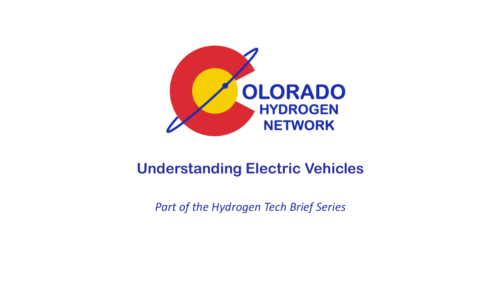

#### **Understanding Electric Vehicles**

*Part of the Hydrogen Tech Brief Series*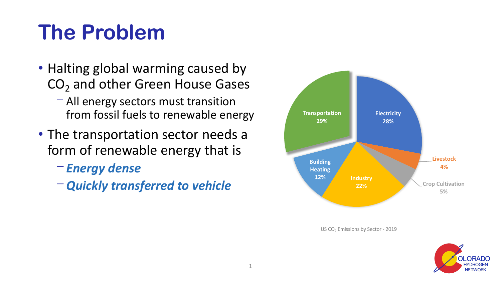## **The Problem**

- Halting global warming caused by CO<sub>2</sub> and other Green House Gases
	- $-$  All energy sectors must transition from fossil fuels to renewable energy
- The transportation sector needs a form of renewable energy that is
	- ⎻ *Energy dense*
	- ⎻ *Quickly transferred to vehicle*



US CO<sub>2</sub> Emissions by Sector - 2019

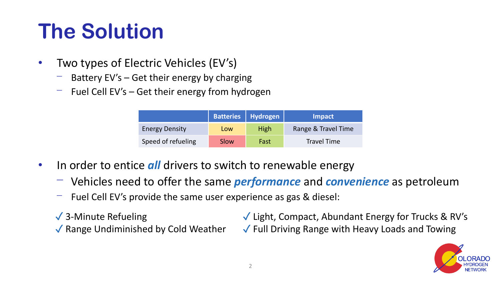# **The Solution**

- Two types of Electric Vehicles (EV's)
	- Battery  $EV's Get$  their energy by charging
	- Fuel Cell  $EV's Get their energy from hydrogen$

|                       | <b>Batteries Hydrogen</b> |             | <b>Impact</b>       |
|-----------------------|---------------------------|-------------|---------------------|
| <b>Energy Density</b> | Low                       | <b>High</b> | Range & Travel Time |
| Speed of refueling    | Slow                      | Fast        | <b>Travel Time</b>  |

- In order to entice *all* drivers to switch to renewable energy
	- ⎻ Vehicles need to offer the same *performance* and *convenience* as petroleum
	- Fuel Cell EV's provide the same user experience as gas & diesel:
	- ✓ 3-Minute Refueling
	- ✓ Range Undiminished by Cold Weather

✓ Light, Compact, Abundant Energy for Trucks & RV's ✓ Full Driving Range with Heavy Loads and Towing

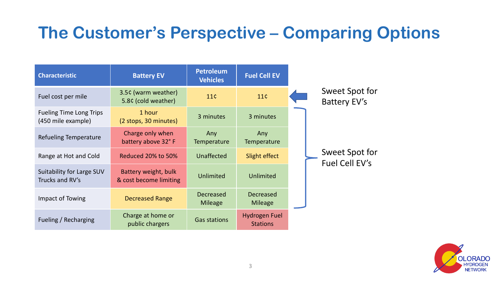#### **The Customer's Perspective – Comparing Options**

| <b>Characteristic</b>                                | <b>Battery EV</b>                              | <b>Petroleum</b><br><b>Vehicles</b> | <b>Fuel Cell EV</b>                |                                  |
|------------------------------------------------------|------------------------------------------------|-------------------------------------|------------------------------------|----------------------------------|
| Fuel cost per mile                                   | 3.5¢ (warm weather)<br>5.8¢ (cold weather)     | 11 <sup>c</sup>                     | 11 <sup>c</sup>                    | Sweet Spot for<br>Battery EV's   |
| <b>Fueling Time Long Trips</b><br>(450 mile example) | 1 hour<br>(2 stops, 30 minutes)                | 3 minutes                           | 3 minutes                          |                                  |
| <b>Refueling Temperature</b>                         | Charge only when<br>battery above 32°F         | Any<br>Temperature                  | Any<br>Temperature                 |                                  |
| Range at Hot and Cold                                | Reduced 20% to 50%                             | Unaffected                          | Slight effect                      | Sweet Spot for<br>Fuel Cell EV's |
| Suitability for Large SUV<br>Trucks and RV's         | Battery weight, bulk<br>& cost become limiting | Unlimited                           | Unlimited                          |                                  |
| Impact of Towing                                     | <b>Decreased Range</b>                         | <b>Decreased</b><br><b>Mileage</b>  | <b>Decreased</b><br><b>Mileage</b> |                                  |
| Fueling / Recharging                                 | Charge at home or<br>public chargers           | <b>Gas stations</b>                 | Hydrogen Fuel<br><b>Stations</b>   |                                  |

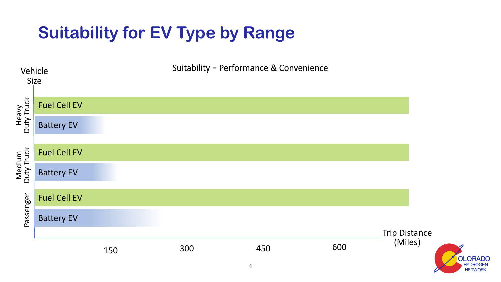### **Suitability for EV Type by Range**



**NETWORK**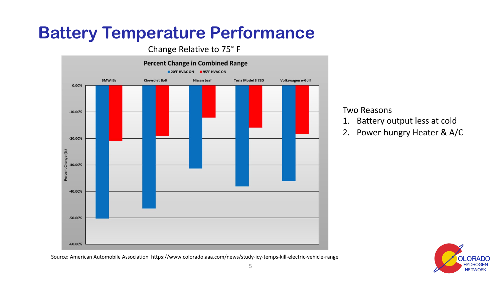### **Battery Temperature Performance**

#### Change Relative to 75° F



Source: American Automobile Association https://www.colorado.aaa.com/news/study-icy-temps-kill-electric-vehicle-range

#### Two Reasons

- 1. Battery output less at cold
- 2. Power-hungry Heater & A/C

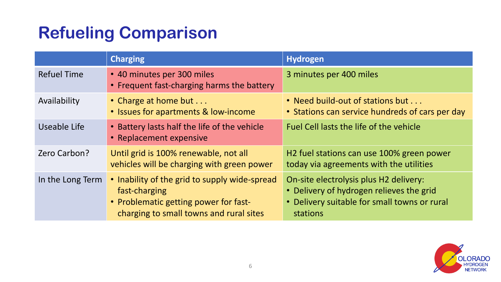## **Refueling Comparison**

|                    | <b>Charging</b>                                                                                                                                    | <b>Hydrogen</b>                                                                                                                                |
|--------------------|----------------------------------------------------------------------------------------------------------------------------------------------------|------------------------------------------------------------------------------------------------------------------------------------------------|
| <b>Refuel Time</b> | • 40 minutes per 300 miles<br>• Frequent fast-charging harms the battery                                                                           | 3 minutes per 400 miles                                                                                                                        |
| Availability       | • Charge at home but<br>• Issues for apartments & low-income                                                                                       | • Need build-out of stations but<br>• Stations can service hundreds of cars per day                                                            |
| Useable Life       | • Battery lasts half the life of the vehicle<br>• Replacement expensive                                                                            | Fuel Cell lasts the life of the vehicle                                                                                                        |
| Zero Carbon?       | Until grid is 100% renewable, not all<br>vehicles will be charging with green power                                                                | H <sub>2</sub> fuel stations can use 100% green power<br>today via agreements with the utilities                                               |
| In the Long Term   | • Inability of the grid to supply wide-spread<br>fast-charging<br>• Problematic getting power for fast-<br>charging to small towns and rural sites | On-site electrolysis plus H2 delivery:<br>• Delivery of hydrogen relieves the grid<br>• Delivery suitable for small towns or rural<br>stations |